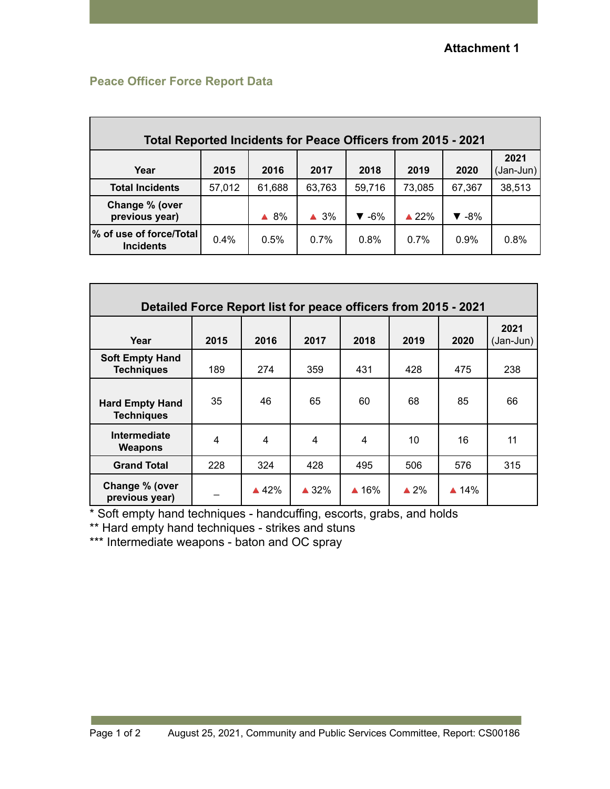## **Peace Officer Force Report Data**

| Total Reported Incidents for Peace Officers from 2015 - 2021 |        |        |                |                          |                  |                           |                   |  |
|--------------------------------------------------------------|--------|--------|----------------|--------------------------|------------------|---------------------------|-------------------|--|
| Year                                                         | 2015   | 2016   | 2017           | 2018                     | 2019             | 2020                      | 2021<br>(Jan-Jun) |  |
| <b>Total Incidents</b>                                       | 57,012 | 61,688 | 63,763         | 59,716                   | 73,085           | 67,367                    | 38,513            |  |
| Change % (over<br>previous year)                             |        | 8%     | $\triangle$ 3% | $\blacktriangledown$ -6% | $\triangle 22\%$ | $\blacktriangledown -8\%$ |                   |  |
| ∣% of use of force/Total<br><b>Incidents</b>                 | 0.4%   | 0.5%   | 0.7%           | 0.8%                     | 0.7%             | $0.9\%$                   | 0.8%              |  |

| Detailed Force Report list for peace officers from 2015 - 2021 |      |                 |                 |                 |                 |                 |                     |
|----------------------------------------------------------------|------|-----------------|-----------------|-----------------|-----------------|-----------------|---------------------|
| Year                                                           | 2015 | 2016            | 2017            | 2018            | 2019            | 2020            | 2021<br>$(Jan-Jun)$ |
| <b>Soft Empty Hand</b><br><b>Techniques</b>                    | 189  | 274             | 359             | 431             | 428             | 475             | 238                 |
| <b>Hard Empty Hand</b><br><b>Techniques</b>                    | 35   | 46              | 65              | 60              | 68              | 85              | 66                  |
| Intermediate<br><b>Weapons</b>                                 | 4    | $\overline{4}$  | 4               | 4               | 10              | 16              | 11                  |
| <b>Grand Total</b>                                             | 228  | 324             | 428             | 495             | 506             | 576             | 315                 |
| Change % (over<br>previous year)                               |      | $\triangle$ 42% | $\triangle$ 32% | $\triangle$ 16% | $\triangle 2\%$ | $\triangle$ 14% |                     |

\* Soft empty hand techniques - handcuffing, escorts, grabs, and holds

\*\* Hard empty hand techniques - strikes and stuns

\*\*\* Intermediate weapons - baton and OC spray